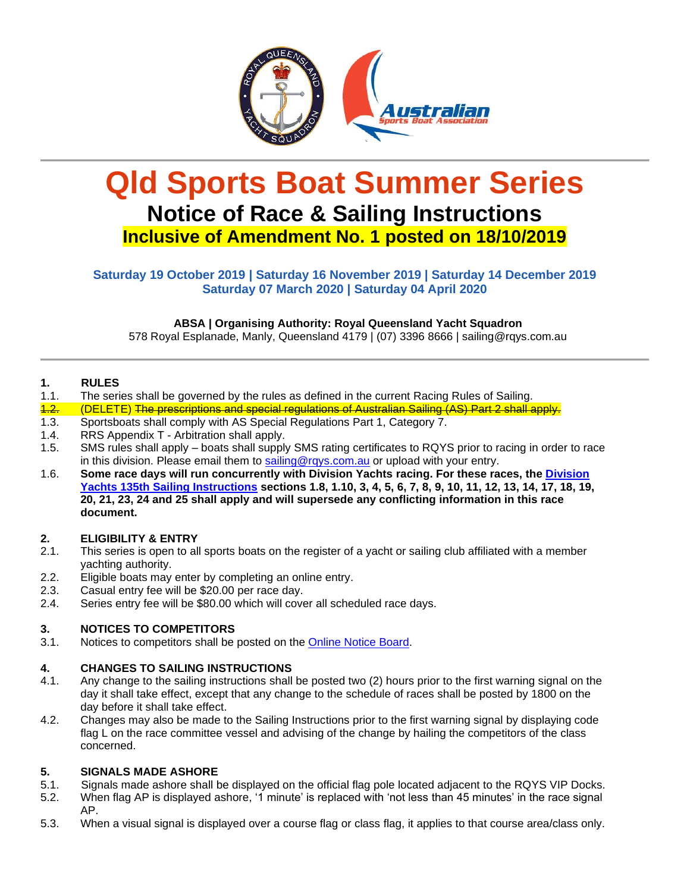

# **Qld Sports Boat Summer Series Notice of Race & Sailing Instructions Inclusive of Amendment No. 1 posted on 18/10/2019**

# **Saturday 19 October 2019 | Saturday 16 November 2019 | Saturday 14 December 2019 Saturday 07 March 2020 | Saturday 04 April 2020**

**ABSA | Organising Authority: Royal Queensland Yacht Squadron** 

578 Royal Esplanade, Manly, Queensland 4179 | (07) 3396 8666 | sailing@rqys.com.au

# **1. RULES**

- 1.1. The series shall be governed by the rules as defined in the current Racing Rules of Sailing.
- 1.2. (DELETE) The prescriptions and special regulations of Australian Sailing (AS) Part 2 shall apply.
- 1.3. Sportsboats shall comply with AS Special Regulations Part 1, Category 7.
- 1.4. RRS Appendix T Arbitration shall apply.
- 1.5. SMS rules shall apply boats shall supply SMS rating certificates to RQYS prior to racing in order to race in this division. Please email them to [sailing@rqys.com.au](mailto:sailing@rqys.com.au) or upload with your entry.
- 1.6. **Some race days will run concurrently with Division Yachts racing. For these races, the [Division](https://www.rqys.com.au/club-racing/)  [Yachts 135th Sailing Instructions](https://www.rqys.com.au/club-racing/) sections 1.8, 1.10, 3, 4, 5, 6, 7, 8, 9, 10, 11, 12, 13, 14, 17, 18, 19, 20, 21, 23, 24 and 25 shall apply and will supersede any conflicting information in this race document.**

#### **2. ELIGIBILITY & ENTRY**

- 2.1. This series is open to all sports boats on the register of a yacht or sailing club affiliated with a member yachting authority.
- 2.2. Eligible boats may enter by completing an online entry.
- 2.3. Casual entry fee will be \$20.00 per race day.
- 2.4. Series entry fee will be \$80.00 which will cover all scheduled race days.

# **3. NOTICES TO COMPETITORS**

3.1. Notices to competitors shall be posted on the [Online Notice Board.](https://www.rqys.com.au/sailingnoticeboard/)

#### **4. CHANGES TO SAILING INSTRUCTIONS**

- 4.1. Any change to the sailing instructions shall be posted two (2) hours prior to the first warning signal on the day it shall take effect, except that any change to the schedule of races shall be posted by 1800 on the day before it shall take effect.
- 4.2. Changes may also be made to the Sailing Instructions prior to the first warning signal by displaying code flag L on the race committee vessel and advising of the change by hailing the competitors of the class concerned.

#### **5. SIGNALS MADE ASHORE**

- 5.1. Signals made ashore shall be displayed on the official flag pole located adjacent to the RQYS VIP Docks.
- 5.2. When flag AP is displayed ashore, '1 minute' is replaced with 'not less than 45 minutes' in the race signal AP.
- 5.3. When a visual signal is displayed over a course flag or class flag, it applies to that course area/class only.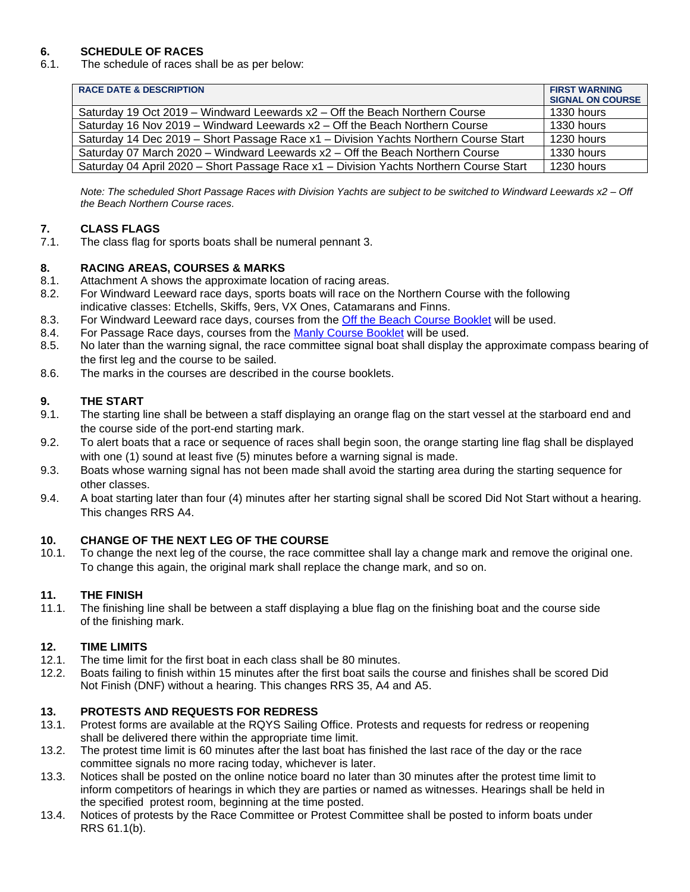# **6. SCHEDULE OF RACES**

6.1. The schedule of races shall be as per below:

| <b>RACE DATE &amp; DESCRIPTION</b>                                                     | <b>FIRST WARNING</b><br><b>SIGNAL ON COURSE</b> |
|----------------------------------------------------------------------------------------|-------------------------------------------------|
| Saturday 19 Oct 2019 – Windward Leewards x2 – Off the Beach Northern Course            | 1330 hours                                      |
| Saturday 16 Nov 2019 – Windward Leewards $x^2$ – Off the Beach Northern Course         | 1330 hours                                      |
| Saturday 14 Dec 2019 – Short Passage Race x1 – Division Yachts Northern Course Start   | 1230 hours                                      |
| Saturday 07 March 2020 – Windward Leewards x2 – Off the Beach Northern Course          | 1330 hours                                      |
| Saturday 04 April 2020 – Short Passage Race x1 – Division Yachts Northern Course Start | 1230 hours                                      |

*Note: The scheduled Short Passage Races with Division Yachts are subject to be switched to Windward Leewards x2 – Off the Beach Northern Course races.* 

# **7. CLASS FLAGS**

7.1. The class flag for sports boats shall be numeral pennant 3.

#### **8. RACING AREAS, COURSES & MARKS**

- 8.1. Attachment A shows the approximate location of racing areas.
- 8.2. For Windward Leeward race days, sports boats will race on the Northern Course with the following indicative classes: Etchells, Skiffs, 9ers, VX Ones, Catamarans and Finns.
- 8.3. For Windward Leeward race days, courses from the [Off the Beach Course Booklet](https://www.rqys.com.au/wp-content/uploads/2019/09/Off-the-Beach-Course-Booklet-for-2019-2020-1.pdf) will be used.
- 8.4. For Passage Race days, courses from the [Manly Course Booklet](https://www.rqys.com.au/wp-content/uploads/2019/09/Manly-Course-Book.pdf) will be used.
- 8.5. No later than the warning signal, the race committee signal boat shall display the approximate compass bearing of the first leg and the course to be sailed.
- 8.6. The marks in the courses are described in the course booklets.

# **9. THE START**

- 9.1. The starting line shall be between a staff displaying an orange flag on the start vessel at the starboard end and the course side of the port-end starting mark.
- 9.2. To alert boats that a race or sequence of races shall begin soon, the orange starting line flag shall be displayed with one (1) sound at least five (5) minutes before a warning signal is made.
- 9.3. Boats whose warning signal has not been made shall avoid the starting area during the starting sequence for other classes.
- 9.4. A boat starting later than four (4) minutes after her starting signal shall be scored Did Not Start without a hearing. This changes RRS A4.

#### **10. CHANGE OF THE NEXT LEG OF THE COURSE**

10.1. To change the next leg of the course, the race committee shall lay a change mark and remove the original one. To change this again, the original mark shall replace the change mark, and so on.

#### **11. THE FINISH**

11.1. The finishing line shall be between a staff displaying a blue flag on the finishing boat and the course side of the finishing mark.

#### **12. TIME LIMITS**

- 12.1. The time limit for the first boat in each class shall be 80 minutes.
- 12.2. Boats failing to finish within 15 minutes after the first boat sails the course and finishes shall be scored Did Not Finish (DNF) without a hearing. This changes RRS 35, A4 and A5.

#### **13. PROTESTS AND REQUESTS FOR REDRESS**

- 13.1. Protest forms are available at the RQYS Sailing Office. Protests and requests for redress or reopening shall be delivered there within the appropriate time limit.
- 13.2. The protest time limit is 60 minutes after the last boat has finished the last race of the day or the race committee signals no more racing today, whichever is later.
- 13.3. Notices shall be posted on the online notice board no later than 30 minutes after the protest time limit to inform competitors of hearings in which they are parties or named as witnesses. Hearings shall be held in the specified protest room, beginning at the time posted.
- 13.4. Notices of protests by the Race Committee or Protest Committee shall be posted to inform boats under RRS 61.1(b).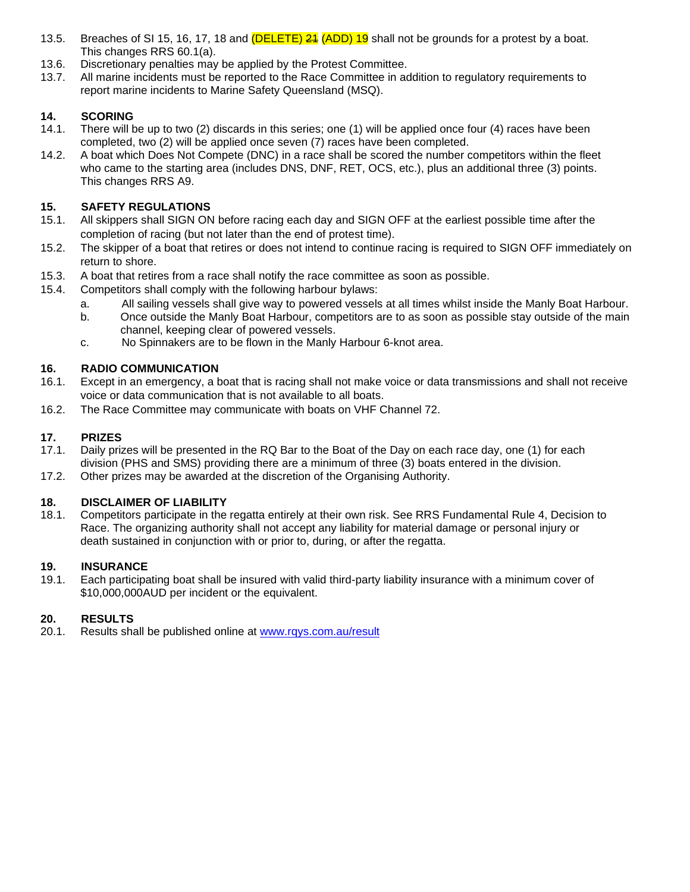- 13.5. Breaches of SI 15, 16, 17, 18 and (**DELETE) 24 (ADD) 19** shall not be grounds for a protest by a boat. This changes RRS 60.1(a).
- 13.6. Discretionary penalties may be applied by the Protest Committee.
- 13.7. All marine incidents must be reported to the Race Committee in addition to regulatory requirements to report marine incidents to Marine Safety Queensland (MSQ).

# **14. SCORING**

- 14.1. There will be up to two (2) discards in this series; one (1) will be applied once four (4) races have been completed, two (2) will be applied once seven (7) races have been completed.
- 14.2. A boat which Does Not Compete (DNC) in a race shall be scored the number competitors within the fleet who came to the starting area (includes DNS, DNF, RET, OCS, etc.), plus an additional three (3) points. This changes RRS A9.

# **15. SAFETY REGULATIONS**

- 15.1. All skippers shall SIGN ON before racing each day and SIGN OFF at the earliest possible time after the completion of racing (but not later than the end of protest time).
- 15.2. The skipper of a boat that retires or does not intend to continue racing is required to SIGN OFF immediately on return to shore.
- 15.3. A boat that retires from a race shall notify the race committee as soon as possible.
- 15.4. Competitors shall comply with the following harbour bylaws:
	- a. All sailing vessels shall give way to powered vessels at all times whilst inside the Manly Boat Harbour.
	- b. Once outside the Manly Boat Harbour, competitors are to as soon as possible stay outside of the main channel, keeping clear of powered vessels.
	- c. No Spinnakers are to be flown in the Manly Harbour 6-knot area.

# **16. RADIO COMMUNICATION**

- 16.1. Except in an emergency, a boat that is racing shall not make voice or data transmissions and shall not receive voice or data communication that is not available to all boats.
- 16.2. The Race Committee may communicate with boats on VHF Channel 72.

# **17. PRIZES**

- 17.1. Daily prizes will be presented in the RQ Bar to the Boat of the Day on each race day, one (1) for each division (PHS and SMS) providing there are a minimum of three (3) boats entered in the division.
- 17.2. Other prizes may be awarded at the discretion of the Organising Authority.

#### **18. DISCLAIMER OF LIABILITY**

18.1. Competitors participate in the regatta entirely at their own risk. See RRS Fundamental Rule 4, Decision to Race. The organizing authority shall not accept any liability for material damage or personal injury or death sustained in conjunction with or prior to, during, or after the regatta.

#### **19. INSURANCE**

19.1. Each participating boat shall be insured with valid third-party liability insurance with a minimum cover of \$10,000,000AUD per incident or the equivalent.

#### **20. RESULTS**

20.1. Results shall be published online at [www.rqys.com.au/result](http://www.rqys.com.au/result)